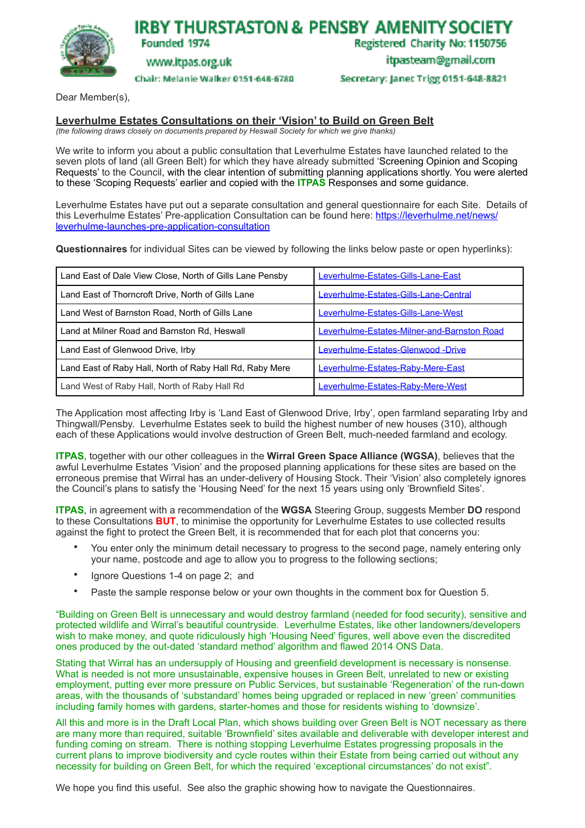

**IRBY THURSTASTON & PENSBY AMENITY SOCIETY** 

Registered Charity No: 1150756

www.itpas.org.uk

Founded 1974

Chair: Melanie Walker 0151-648-6780

itpasteam@gmail.com

Secretary: Janet Trigg 0151-648-8821

Dear Member(s),

## **Leverhulme Estates Consultations on their 'Vision' to Build on Green Belt**

*(the following draws closely on documents prepared by Heswall Society for which we give thanks)*

We write to inform you about a public consultation that Leverhulme Estates have launched related to the seven plots of land (all Green Belt) for which they have already submitted 'Screening Opinion and Scoping Requests' to the Council, with the clear intention of submitting planning applications shortly. You were alerted to these 'Scoping Requests' earlier and copied with the **ITPAS** Responses and some guidance.

Leverhulme Estates have put out a separate consultation and general questionnaire for each Site. Details of this Leverhulme Estates' Pre-application Consultation can be found here: [https://leverhulme.net/news/](https://leverhulme.net/news/leverhulme-launches-pre-application-consultation) [leverhulme-launches-pre-application-consultation](https://leverhulme.net/news/leverhulme-launches-pre-application-consultation)

**Questionnaires** for individual Sites can be viewed by following the links below paste or open hyperlinks):

| Land East of Dale View Close, North of Gills Lane Pensby | Leverhulme-Estates-Gills-Lane-East          |
|----------------------------------------------------------|---------------------------------------------|
| Land East of Thorncroft Drive, North of Gills Lane       | Leverhulme-Estates-Gills-Lane-Central       |
| Land West of Barnston Road, North of Gills Lane          | Leverhulme-Estates-Gills-Lane-West          |
| Land at Milner Road and Barnston Rd, Heswall             | Leverhulme-Estates-Milner-and-Barnston Road |
| Land East of Glenwood Drive, Irby                        | Leverhulme-Estates-Glenwood -Drive          |
| Land East of Raby Hall, North of Raby Hall Rd, Raby Mere | Leverhulme-Estates-Raby-Mere-East           |
| Land West of Raby Hall, North of Raby Hall Rd            | Leverhulme-Estates-Raby-Mere-West           |

The Application most affecting Irby is 'Land East of Glenwood Drive, Irby', open farmland separating Irby and Thingwall/Pensby. Leverhulme Estates seek to build the highest number of new houses (310), although each of these Applications would involve destruction of Green Belt, much-needed farmland and ecology.

**ITPAS**, together with our other colleagues in the **Wirral Green Space Alliance (WGSA)**, believes that the awful Leverhulme Estates 'Vision' and the proposed planning applications for these sites are based on the erroneous premise that Wirral has an under-delivery of Housing Stock. Their 'Vision' also completely ignores the Council's plans to satisfy the 'Housing Need' for the next 15 years using only 'Brownfield Sites'.

**ITPAS**, in agreement with a recommendation of the **WGSA** Steering Group, suggests Member **DO** respond to these Consultations **BUT**, to minimise the opportunity for Leverhulme Estates to use collected results against the fight to protect the Green Belt, it is recommended that for each plot that concerns you:

- You enter only the minimum detail necessary to progress to the second page, namely entering only your name, postcode and age to allow you to progress to the following sections;
- Ignore Questions 1-4 on page 2; and
- Paste the sample response below or your own thoughts in the comment box for Question 5.

"Building on Green Belt is unnecessary and would destroy farmland (needed for food security), sensitive and protected wildlife and Wirral's beautiful countryside. Leverhulme Estates, like other landowners/developers wish to make money, and quote ridiculously high 'Housing Need' figures, well above even the discredited ones produced by the out-dated 'standard method' algorithm and flawed 2014 ONS Data.

Stating that Wirral has an undersupply of Housing and greenfield development is necessary is nonsense. What is needed is not more unsustainable, expensive houses in Green Belt, unrelated to new or existing employment, putting ever more pressure on Public Services, but sustainable 'Regeneration' of the run-down areas, with the thousands of 'substandard' homes being upgraded or replaced in new 'green' communities including family homes with gardens, starter-homes and those for residents wishing to 'downsize'.

All this and more is in the Draft Local Plan, which shows building over Green Belt is NOT necessary as there are many more than required, suitable 'Brownfield' sites available and deliverable with developer interest and funding coming on stream. There is nothing stopping Leverhulme Estates progressing proposals in the current plans to improve biodiversity and cycle routes within their Estate from being carried out without any necessity for building on Green Belt, for which the required 'exceptional circumstances' do not exist".

We hope you find this useful. See also the graphic showing how to navigate the Questionnaires.